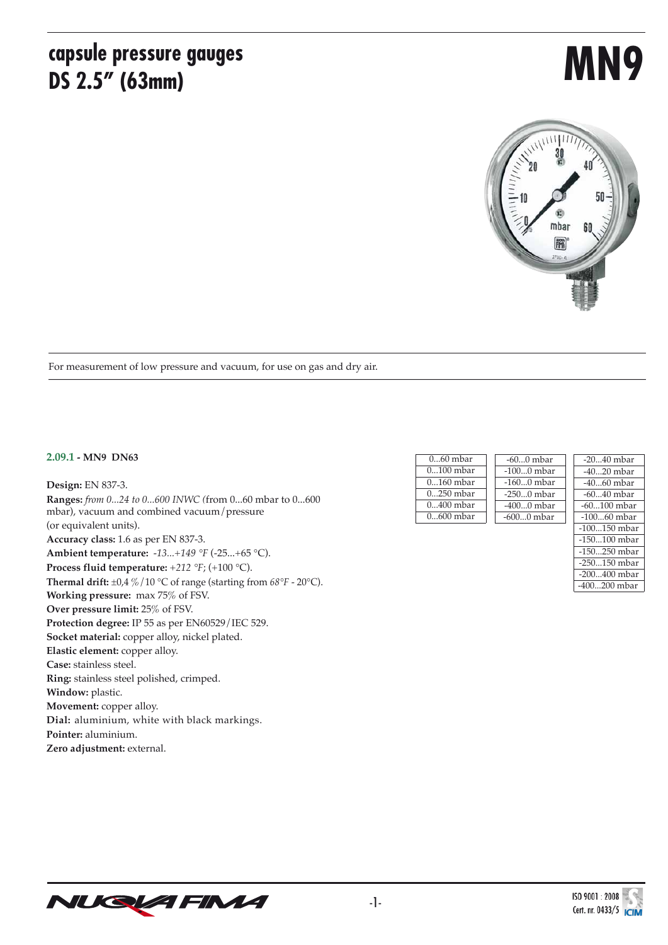### **capsule pressure gauges DS 2.5" (63mm)**

# **MN9**



For measurement of low pressure and vacuum, for use on gas and dry air.

#### **2.09.1 - MN9 DN63**

**Design:** EN 837-3. **Ranges:** *from 0...24 to 0...600 INWC (*from 0...60 mbar to 0...600 mbar), vacuum and combined vacuum/pressure (or equivalent units). **Accuracy class:** 1.6 as per EN 837-3. **Ambient temperature:** *-13...+149 °F* (-25...+65 °C). **Process fluid temperature:** *+212 °F*; (+100 °C). **Thermal drift:**  $\pm 0.4 \% / 10 °C$  of range (starting from  $68 °F$  - 20°C). **Working pressure:** max 75% of FSV. **Over pressure limit:** 25% of FSV. **Protection degree:** IP 55 as per EN60529/IEC 529. **Socket material:** copper alloy, nickel plated. **Elastic element:** copper alloy. **Case:** stainless steel. **Ring:** stainless steel polished, crimped. **Window:** plastic. **Movement:** copper alloy. **Dial:** aluminium, white with black markings. **Pointer:** aluminium. **Zero adjustment:** external.

| $060$ mbar  | $-600$ mbar  |
|-------------|--------------|
| $0100$ mbar | $-1000$ mbar |
| $0160$ mbar | $-1600$ mbar |
| $0250$ mbar | $-2500$ mbar |
| 0400 mbar   | $-4000$ mbar |
| $0600$ mbar | $-6000$ mbar |

| -2040 mbar     |
|----------------|
| -40…20 mbar    |
| -40…60 mbar    |
| -60…40 mbar    |
| $-60100$ mbar  |
| $-10060$ mbar  |
| $-100150$ mbar |
| -150100 mbar   |
| $-150250$ mbar |
| $-250150$ mbar |
| $-200400$ mbar |
| -400200 mbar   |
|                |